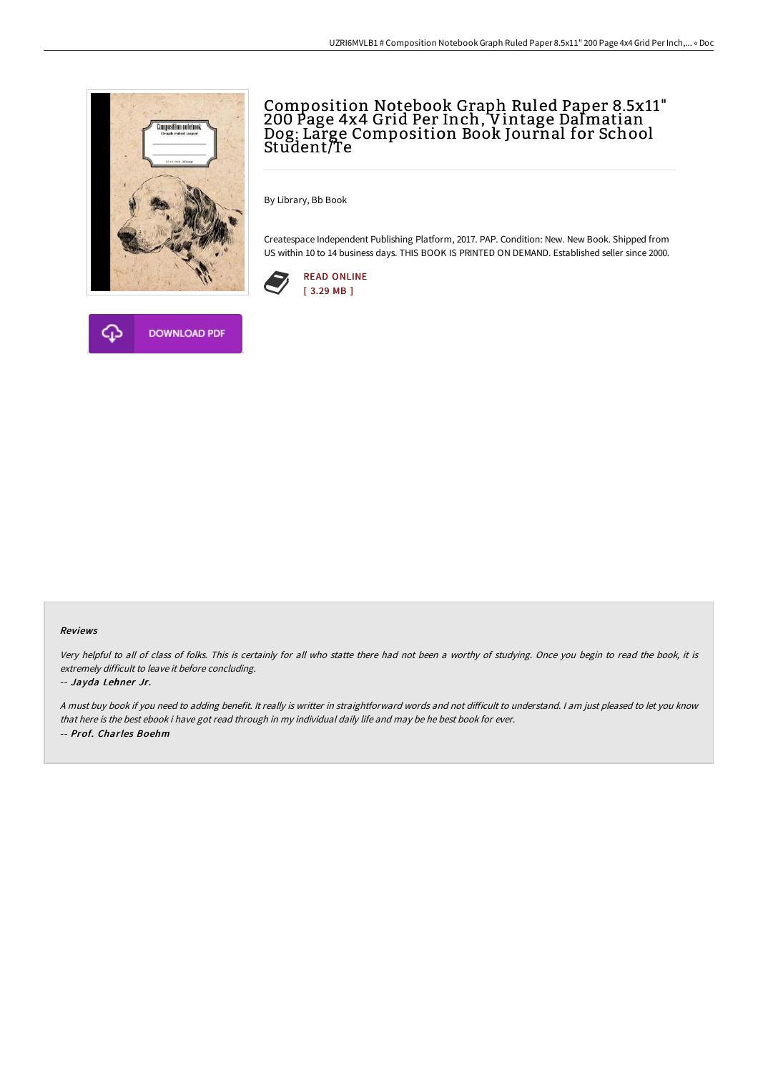



By Library, Bb Book

Createspace Independent Publishing Platform, 2017. PAP. Condition: New. New Book. Shipped from US within 10 to 14 business days. THIS BOOK IS PRINTED ON DEMAND. Established seller since 2000.





## Reviews

Very helpful to all of class of folks. This is certainly for all who statte there had not been <sup>a</sup> worthy of studying. Once you begin to read the book, it is extremely difficult to leave it before concluding.

## -- Jayda Lehner Jr.

A must buy book if you need to adding benefit. It really is writter in straightforward words and not difficult to understand. I am just pleased to let you know that here is the best ebook i have got read through in my individual daily life and may be he best book for ever. -- Prof. Charles Boehm